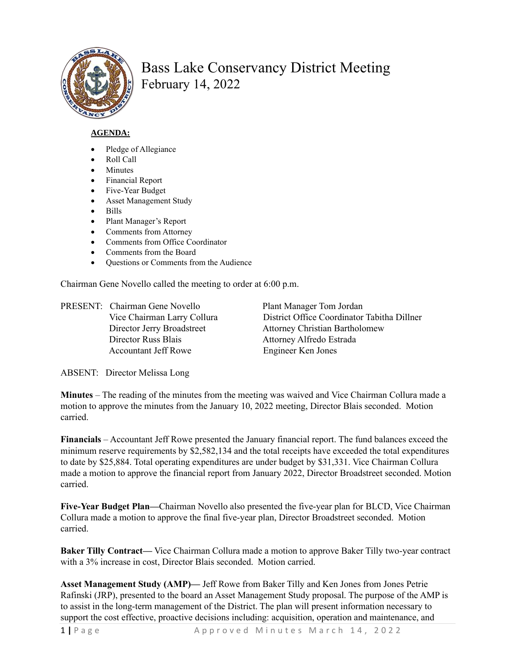

## Bass Lake Conservancy District Meeting February 14, 2022

## **AGENDA:**

- Pledge of Allegiance
- Roll Call
- Minutes
- Financial Report
- Five-Year Budget
- Asset Management Study
- Bills
- Plant Manager's Report
- Comments from Attorney
- Comments from Office Coordinator
- Comments from the Board
- Questions or Comments from the Audience

Chairman Gene Novello called the meeting to order at 6:00 p.m.

PRESENT: Chairman Gene Novello Plant Manager Tom Jordan Director Russ Blais Attorney Alfredo Estrada Accountant Jeff Rowe Engineer Ken Jones

Vice Chairman Larry Collura District Office Coordinator Tabitha Dillner Director Jerry Broadstreet Attorney Christian Bartholomew

ABSENT: Director Melissa Long

**Minutes** – The reading of the minutes from the meeting was waived and Vice Chairman Collura made a motion to approve the minutes from the January 10, 2022 meeting, Director Blais seconded. Motion carried.

**Financials** – Accountant Jeff Rowe presented the January financial report. The fund balances exceed the minimum reserve requirements by \$2,582,134 and the total receipts have exceeded the total expenditures to date by \$25,884. Total operating expenditures are under budget by \$31,331. Vice Chairman Collura made a motion to approve the financial report from January 2022, Director Broadstreet seconded. Motion carried.

**Five-Year Budget Plan—**Chairman Novello also presented the five-year plan for BLCD, Vice Chairman Collura made a motion to approve the final five-year plan, Director Broadstreet seconded. Motion carried.

**Baker Tilly Contract—** Vice Chairman Collura made a motion to approve Baker Tilly two-year contract with a 3% increase in cost, Director Blais seconded. Motion carried.

**Asset Management Study (AMP)—** Jeff Rowe from Baker Tilly and Ken Jones from Jones Petrie Rafinski (JRP), presented to the board an Asset Management Study proposal. The purpose of the AMP is to assist in the long-term management of the District. The plan will present information necessary to support the cost effective, proactive decisions including: acquisition, operation and maintenance, and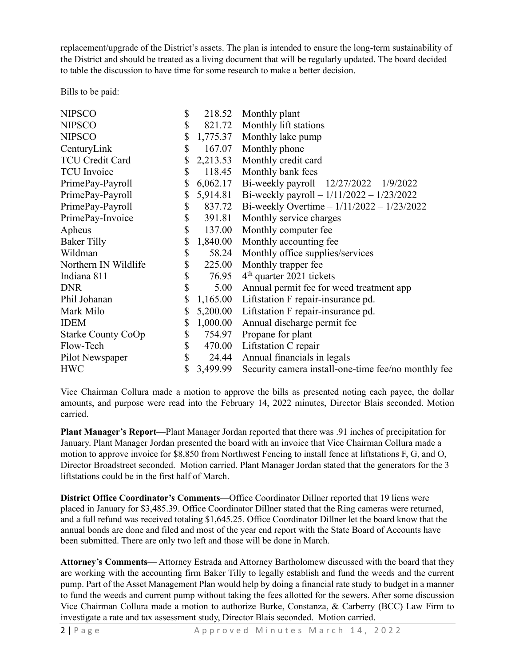replacement/upgrade of the District's assets. The plan is intended to ensure the long-term sustainability of the District and should be treated as a living document that will be regularly updated. The board decided to table the discussion to have time for some research to make a better decision.

Bills to be paid:

| <b>NIPSCO</b>             | \$             | 218.52 Monthly plant                                |
|---------------------------|----------------|-----------------------------------------------------|
| <b>NIPSCO</b>             | \$             | 821.72 Monthly lift stations                        |
| <b>NIPSCO</b>             | \$<br>1,775.37 | Monthly lake pump                                   |
| CenturyLink               | \$<br>167.07   | Monthly phone                                       |
| TCU Credit Card           | \$<br>2,213.53 | Monthly credit card                                 |
| <b>TCU</b> Invoice        | \$<br>118.45   | Monthly bank fees                                   |
| PrimePay-Payroll          | \$<br>6,062.17 | Bi-weekly payroll $- 12/27/2022 - 1/9/2022$         |
| PrimePay-Payroll          | \$<br>5,914.81 | Bi-weekly payroll $-1/11/2022 - 1/23/2022$          |
| PrimePay-Payroll          | \$<br>837.72   | Bi-weekly Overtime $-1/11/2022 - 1/23/2022$         |
| PrimePay-Invoice          | \$<br>391.81   | Monthly service charges                             |
| Apheus                    | \$<br>137.00   | Monthly computer fee                                |
| <b>Baker Tilly</b>        | \$<br>1,840.00 | Monthly accounting fee.                             |
| Wildman                   | \$<br>58.24    | Monthly office supplies/services                    |
| Northern IN Wildlife      | \$<br>225.00   | Monthly trapper fee                                 |
| Indiana 811               | \$<br>76.95    | $4th$ quarter 2021 tickets                          |
| <b>DNR</b>                | \$<br>5.00     | Annual permit fee for weed treatment app            |
| Phil Johanan              | \$<br>1,165.00 | Liftstation F repair-insurance pd.                  |
| Mark Milo                 | \$<br>5,200.00 | Liftstation F repair-insurance pd.                  |
| <b>IDEM</b>               | \$<br>1,000.00 | Annual discharge permit fee                         |
| <b>Starke County CoOp</b> | \$<br>754.97   | Propane for plant                                   |
| Flow-Tech                 | \$             | 470.00 Liftstation C repair                         |
| Pilot Newspaper           | \$<br>24.44    | Annual financials in legals                         |
| <b>HWC</b>                | \$<br>3,499.99 | Security camera install-one-time fee/no monthly fee |

Vice Chairman Collura made a motion to approve the bills as presented noting each payee, the dollar amounts, and purpose were read into the February 14, 2022 minutes, Director Blais seconded. Motion carried.

**Plant Manager's Report—**Plant Manager Jordan reported that there was .91 inches of precipitation for January. Plant Manager Jordan presented the board with an invoice that Vice Chairman Collura made a motion to approve invoice for \$8,850 from Northwest Fencing to install fence at liftstations F, G, and O, Director Broadstreet seconded. Motion carried. Plant Manager Jordan stated that the generators for the 3 liftstations could be in the first half of March.

**District Office Coordinator's Comments—**Office Coordinator Dillner reported that 19 liens were placed in January for \$3,485.39. Office Coordinator Dillner stated that the Ring cameras were returned, and a full refund was received totaling \$1,645.25. Office Coordinator Dillner let the board know that the annual bonds are done and filed and most of the year end report with the State Board of Accounts have been submitted. There are only two left and those will be done in March.

**Attorney's Comments—** Attorney Estrada and Attorney Bartholomew discussed with the board that they are working with the accounting firm Baker Tilly to legally establish and fund the weeds and the current pump. Part of the Asset Management Plan would help by doing a financial rate study to budget in a manner to fund the weeds and current pump without taking the fees allotted for the sewers. After some discussion Vice Chairman Collura made a motion to authorize Burke, Constanza, & Carberry (BCC) Law Firm to investigate a rate and tax assessment study, Director Blais seconded. Motion carried.